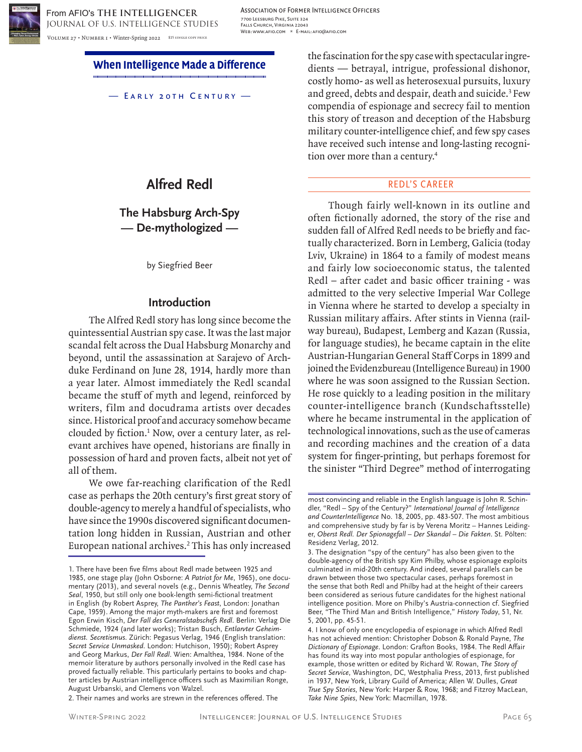

Association of Former Intelligence Officers 7700 Leesburg Pike, Suite 324 Falls Church, Virginia 22043 Web: www.afio.com \* E-mail: afio@afio.com

**When Intelligence Made a Difference**

— Early 20th Century —

# **Alfred Redl**

# **The Habsburg Arch-Spy — De-mythologized —**

by Siegfried Beer

# **Introduction**

The Alfred Redl story has long since become the quintessential Austrian spy case. It was the last major scandal felt across the Dual Habsburg Monarchy and beyond, until the assassination at Sarajevo of Archduke Ferdinand on June 28, 1914, hardly more than a year later. Almost immediately the Redl scandal became the stuff of myth and legend, reinforced by writers, film and docudrama artists over decades since. Historical proof and accuracy somehow became clouded by fiction.<sup>1</sup> Now, over a century later, as relevant archives have opened, historians are finally in possession of hard and proven facts, albeit not yet of all of them.

We owe far-reaching clarification of the Redl case as perhaps the 20th century's first great story of double-agency to merely a handful of specialists, who have since the 1990s discovered significant documentation long hidden in Russian, Austrian and other European national archives.2 This has only increased

2. Their names and works are strewn in the references offered. The

the fascination for the spy case with spectacular ingredients — betrayal, intrigue, professional dishonor, costly homo- as well as heterosexual pursuits, luxury and greed, debts and despair, death and suicide.<sup>3</sup> Few compendia of espionage and secrecy fail to mention this story of treason and deception of the Habsburg military counter-intelligence chief, and few spy cases have received such intense and long-lasting recognition over more than a century.<sup>4</sup>

#### REDL'S CAREER

Though fairly well-known in its outline and often fictionally adorned, the story of the rise and sudden fall of Alfred Redl needs to be briefly and factually characterized. Born in Lemberg, Galicia (today Lviv, Ukraine) in 1864 to a family of modest means and fairly low socioeconomic status, the talented Redl – after cadet and basic officer training - was admitted to the very selective Imperial War College in Vienna where he started to develop a specialty in Russian military affairs. After stints in Vienna (railway bureau), Budapest, Lemberg and Kazan (Russia, for language studies), he became captain in the elite Austrian-Hungarian General Staff Corps in 1899 and joined the Evidenzbureau (Intelligence Bureau) in 1900 where he was soon assigned to the Russian Section. He rose quickly to a leading position in the military counter-intelligence branch (Kundschaftsstelle) where he became instrumental in the application of technological innovations, such as the use of cameras and recording machines and the creation of a data system for finger-printing, but perhaps foremost for the sinister "Third Degree" method of interrogating

<sup>1.</sup> There have been five films about Redl made between 1925 and 1985, one stage play (John Osborne: *A Patriot for Me*, 1965), one documentary (2013), and several novels (e.g., Dennis Wheatley, *The Second Seal*, 1950, but still only one book-length semi-fictional treatment in English (by Robert Asprey, *The Panther's Feast*, London: Jonathan Cape, 1959). Among the major myth-makers are first and foremost Egon Erwin Kisch, *Der Fall des Generalstabschefs Redl*. Berlin: Verlag Die Schmiede, 1924 (and later works); Tristan Busch, *Entlarvter Geheimdienst. Secretismus*. Zürich: Pegasus Verlag, 1946 (English translation: *Secret Service Unmasked*. London: Hutchison, 1950); Robert Asprey and Georg Markus, *Der Fall Redl*. Wien: Amalthea, 1984. None of the memoir literature by authors personally involved in the Redl case has proved factually reliable. This particularly pertains to books and chapter articles by Austrian intelligence officers such as Maximilian Ronge, August Urbanski, and Clemens von Walzel.

most convincing and reliable in the English language is John R. Schindler, "Redl – Spy of the Century?" *International Journal of Intelligence and CounterIntelligence* No. 18, 2005, pp. 483-507. The most ambitious and comprehensive study by far is by Verena Moritz – Hannes Leidinger, *Oberst Redl. Der Spionagefall – Der Skandal – Die Fakten*. St. Pölten: Residenz Verlag, 2012.

<sup>3.</sup> The designation "spy of the century" has also been given to the double-agency of the British spy Kim Philby, whose espionage exploits culminated in mid-20th century. And indeed, several parallels can be drawn between those two spectacular cases, perhaps foremost in the sense that both Redl and Philby had at the height of their careers been considered as serious future candidates for the highest national intelligence position. More on Philby's Austria-connection cf. Siegfried Beer, "The Third Man and British Intelligence," *History Today*, 51, Nr. 5, 2001, pp. 45-51.

<sup>4.</sup> I know of only one encyclopedia of espionage in which Alfred Redl has not achieved mention: Christopher Dobson & Ronald Payne, *The Dictionary of Espionage*. London: Grafton Books, 1984. The Redl Affair has found its way into most popular anthologies of espionage, for example, those written or edited by Richard W. Rowan, *The Story of Secret Service*, Washington, DC, Westphalia Press, 2013, first published in 1937, New York, Library Guild of America; Allen W. Dulles, *Great True Spy Stories*, New York: Harper & Row, 1968; and Fitzroy MacLean, *Take Nine Spies*, New York: Macmillan, 1978.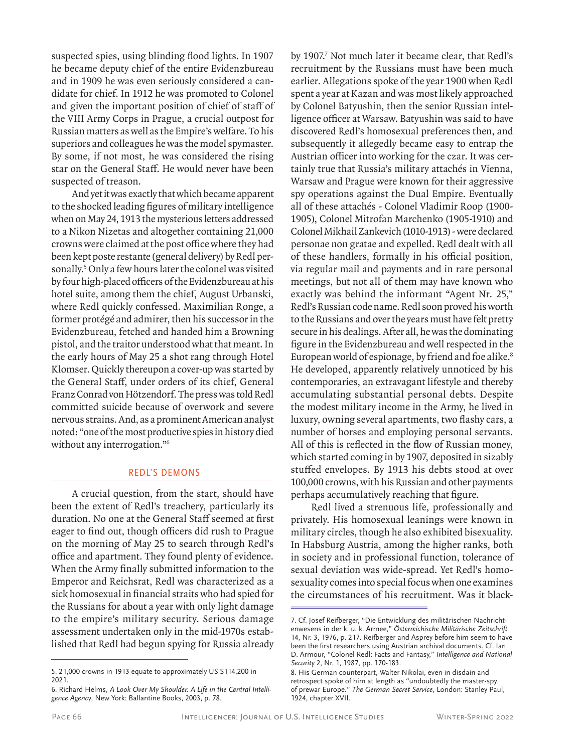suspected spies, using blinding flood lights. In 1907 he became deputy chief of the entire Evidenzbureau and in 1909 he was even seriously considered a candidate for chief. In 1912 he was promoted to Colonel and given the important position of chief of staff of the VIII Army Corps in Prague, a crucial outpost for Russian matters as well as the Empire's welfare. To his superiors and colleagues he was the model spymaster. By some, if not most, he was considered the rising star on the General Staff. He would never have been suspected of treason.

And yet it was exactly that which became apparent to the shocked leading figures of military intelligence when on May 24, 1913 the mysterious letters addressed to a Nikon Nizetas and altogether containing 21,000 crowns were claimed at the post office where they had been kept poste restante (general delivery) by Redl personally.<sup>5</sup> Only a few hours later the colonel was visited by four high-placed officers of the Evidenzbureau at his hotel suite, among them the chief, August Urbanski, where Redl quickly confessed. Maximilian Ronge, a former protégé and admirer, then his successor in the Evidenzbureau, fetched and handed him a Browning pistol, and the traitor understood what that meant. In the early hours of May 25 a shot rang through Hotel Klomser. Quickly thereupon a cover-up was started by the General Staff, under orders of its chief, General Franz Conrad von Hötzendorf. The press was told Redl committed suicide because of overwork and severe nervous strains. And, as a prominent American analyst noted: "one of the most productive spies in history died without any interrogation."<sup>6</sup>

# REDL'S DEMONS

A crucial question, from the start, should have been the extent of Redl's treachery, particularly its duration. No one at the General Staff seemed at first eager to find out, though officers did rush to Prague on the morning of May 25 to search through Redl's office and apartment. They found plenty of evidence. When the Army finally submitted information to the Emperor and Reichsrat, Redl was characterized as a sick homosexual in financial straits who had spied for the Russians for about a year with only light damage to the empire's military security. Serious damage assessment undertaken only in the mid-1970s established that Redl had begun spying for Russia already

by 1907.<sup>7</sup> Not much later it became clear, that Redl's recruitment by the Russians must have been much earlier. Allegations spoke of the year 1900 when Redl spent a year at Kazan and was most likely approached by Colonel Batyushin, then the senior Russian intelligence officer at Warsaw. Batyushin was said to have discovered Redl's homosexual preferences then, and subsequently it allegedly became easy to entrap the Austrian officer into working for the czar. It was certainly true that Russia's military attachés in Vienna, Warsaw and Prague were known for their aggressive spy operations against the Dual Empire. Eventually all of these attachés - Colonel Vladimir Roop (1900- 1905), Colonel Mitrofan Marchenko (1905-1910) and Colonel Mikhail Zankevich (1010-1913) - were declared personae non gratae and expelled. Redl dealt with all of these handlers, formally in his official position, via regular mail and payments and in rare personal meetings, but not all of them may have known who exactly was behind the informant "Agent Nr. 25," Redl's Russian code name. Redl soon proved his worth to the Russians and over the years must have felt pretty secure in his dealings. After all, he was the dominating figure in the Evidenzbureau and well respected in the European world of espionage, by friend and foe alike.<sup>8</sup> He developed, apparently relatively unnoticed by his contemporaries, an extravagant lifestyle and thereby accumulating substantial personal debts. Despite the modest military income in the Army, he lived in luxury, owning several apartments, two flashy cars, a number of horses and employing personal servants. All of this is reflected in the flow of Russian money, which started coming in by 1907, deposited in sizably stuffed envelopes. By 1913 his debts stood at over 100,000 crowns, with his Russian and other payments perhaps accumulatively reaching that figure.

Redl lived a strenuous life, professionally and privately. His homosexual leanings were known in military circles, though he also exhibited bisexuality. In Habsburg Austria, among the higher ranks, both in society and in professional function, tolerance of sexual deviation was wide-spread. Yet Redl's homosexuality comes into special focus when one examines the circumstances of his recruitment. Was it black-

<sup>5. 21,000</sup> crowns in 1913 equate to approximately US \$114,200 in 2021.

<sup>6.</sup> Richard Helms, *A Look Over My Shoulder. A Life in the Central Intelligence Agency*, New York: Ballantine Books, 2003, p. 78.

<sup>7.</sup> Cf. Josef Reifberger, "Die Entwicklung des militärischen Nachrichtenwesens in der k. u. k. Armee," *Österreichische Militärische Zeitschrift* 14, Nr. 3, 1976, p. 217. Reifberger and Asprey before him seem to have been the first researchers using Austrian archival documents. Cf. Ian D. Armour, "Colonel Redl: Facts and Fantasy," *Intelligence and National Security* 2, Nr. 1, 1987, pp. 170-183.

<sup>8.</sup> His German counterpart, Walter Nikolai, even in disdain and retrospect spoke of him at length as "undoubtedly the master-spy of prewar Europe." *The German Secret Service*, London: Stanley Paul, 1924, chapter XVII.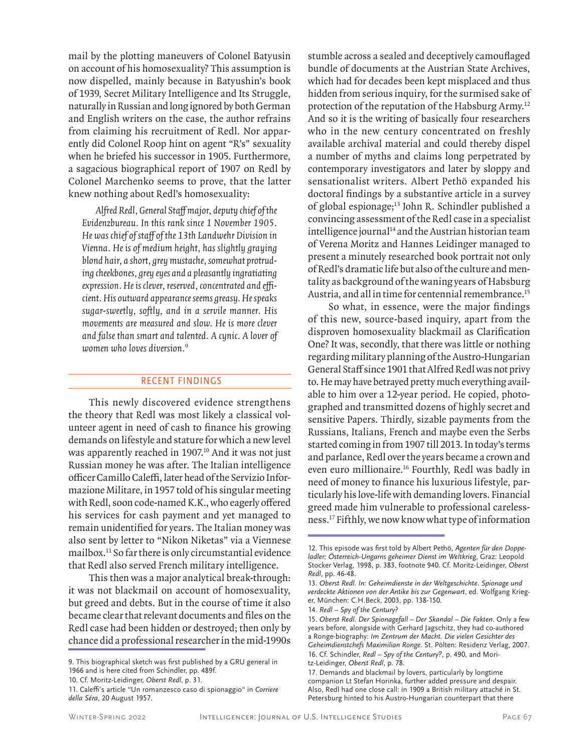mail by the plotting maneuvers of Colonel Batyusin on account of his homosexuality? This assumption is now dispelled, mainly because in Batyushin's book of 1939, Secret Military Intelligence and Its Struggle, naturally in Russian and long ignored by both German and English writers on the case, the author refrains from claiming his recruitment of Redl. Nor apparently did Colonel Roop hint on agent "R's" sexuality when he briefed his successor in 1905. Furthermore, a sagacious biographical report of 1907 on Redl by Colonel Marchenko seems to prove, that the latter knew nothing about Redl's homosexuality:

Alfred Redl, General Staff major, deputy chief of the Evidenzbureau. In this rank since 1 November 1905. He was chief of staff of the 13th Landwehr Division in Vienna. He is of medium height, has slightly graying blond hair, a short, grey mustache, somewhat protruding cheekbones, grey eyes and a pleasantly ingratiating expression. He is clever, reserved, concentrated and efficient. His outward appearance seems greasy. He speaks sugar-sweetly, softly, and in a servile manner. His movements are measured and slow. He is more clever and false than smart and talented. A cynic. A lover of women who loves diversion.<sup>9</sup>

# RECENT FINDINGS

This newly discovered evidence strengthens the theory that Redl was most likely a classical volunteer agent in need of cash to finance his growing demands on lifestyle and stature for which a new level was apparently reached in 1907.<sup>10</sup> And it was not just Russian money he was after. The Italian intelligence officer Camillo Caleffi, later head of the Servizio Informazione Militare, in 1957 told of his singular meeting with Redl, soon code-named K.K., who eagerly offered his services for cash payment and yet managed to remain unidentified for years. The Italian money was also sent by letter to "Nikon Niketas" via a Viennese mailbox.11 So far there is only circumstantial evidence that Redl also served French military intelligence.

This then was a major analytical break-through: it was not blackmail on account of homosexuality, but greed and debts. But in the course of time it also became clear that relevant documents and files on the Redl case had been hidden or destroyed; then only by chance did a professional researcher in the mid-1990s

10. Cf. Moritz-Leidinger, *Oberst Redl*, p. 31.

stumble across a sealed and deceptively camouflaged bundle of documents at the Austrian State Archives, which had for decades been kept misplaced and thus hidden from serious inquiry, for the surmised sake of protection of the reputation of the Habsburg Army.12 And so it is the writing of basically four researchers who in the new century concentrated on freshly available archival material and could thereby dispel a number of myths and claims long perpetrated by contemporary investigators and later by sloppy and sensationalist writers. Albert Pethö expanded his doctoral findings by a substantive article in a survey of global espionage;13 John R. Schindler published a convincing assessment of the Redl case in a specialist intelligence journal<sup>14</sup> and the Austrian historian team of Verena Moritz and Hannes Leidinger managed to present a minutely researched book portrait not only of Redl's dramatic life but also of the culture and mentality as background of the waning years of Habsburg Austria, and all in time for centennial remembrance.<sup>15</sup>

So what, in essence, were the major findings of this new, source-based inquiry, apart from the disproven homosexuality blackmail as Clarification One? It was, secondly, that there was little or nothing regarding military planning of the Austro-Hungarian General Staff since 1901 that Alfred Redl was not privy to. He may have betrayed pretty much everything available to him over a 12-year period. He copied, photographed and transmitted dozens of highly secret and sensitive Papers. Thirdly, sizable payments from the Russians, Italians, French and maybe even the Serbs started coming in from 1907 till 2013. In today's terms and parlance, Redl over the years became a crown and even euro millionaire.16 Fourthly, Redl was badly in need of money to finance his luxurious lifestyle, particularly his love-life with demanding lovers. Financial greed made him vulnerable to professional carelessness.17 Fifthly, we now know what type of information

<sup>9.</sup> This biographical sketch was first published by a GRU general in 1966 and is here cited from Schindler, pp. 489f.

<sup>11.</sup> Caleffi's article "Un romanzesco caso di spionaggio" in *Corriere della Séra*, 20 August 1957.

<sup>12.</sup> This episode was first told by Albert Pethö, *Agenten für den Doppeladler: Österreich-Ungarns geheimer Dienst im Weltkrieg*, Graz: Leopold Stocker Verlag, 1998, p. 383, footnote 940. Cf. Moritz-Leidinger, *Oberst Redl*, pp. 46-48.

<sup>13.</sup> *Oberst Redl. In: Geheimdienste in der Weltgeschichte*. *Spionage und verdeckte Aktionen von der Antike bis zur Gegenwart*, ed. Wolfgang Krieger, München: C.H.Beck, 2003, pp. 138-150.

<sup>14.</sup> *Redl – Spy of the Century*?

<sup>15.</sup> *Oberst Redl. Der Spionagefall – Der Skandal – Die Fakten*. Only a few years before, alongside with Gerhard Jagschitz, they had co-authored a Ronge-biography: *Im Zentrum der Macht. Die vielen Gesichter des Geheimdienstchefs Maximilian Ronge*. St. Pölten: Residenz Verlag, 2007. 16. Cf. Schindler, *Redl – Spy of the Century?*, p. 490, and Mori-

tz-Leidinger, *Oberst Redl*, p. 78.

<sup>17.</sup> Demands and blackmail by lovers, particularly by longtime companion Lt Stefan Horinka, further added pressure and despair. Also, Redl had one close call: in 1909 a British military attaché in St. Petersburg hinted to his Austro-Hungarian counterpart that there